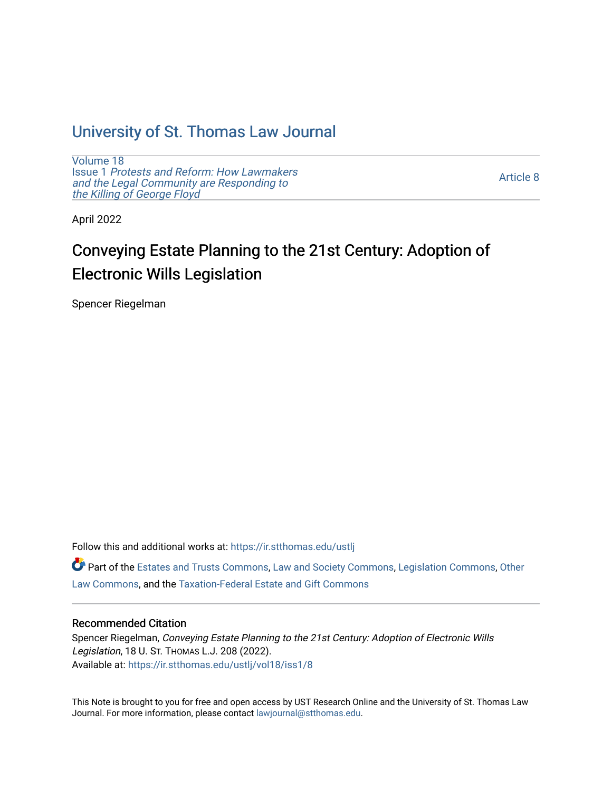## [University of St. Thomas Law Journal](https://ir.stthomas.edu/ustlj)

[Volume 18](https://ir.stthomas.edu/ustlj/vol18) Issue 1 [Protests and Reform: How Lawmakers](https://ir.stthomas.edu/ustlj/vol18/iss1)  [and the Legal Community are Responding to](https://ir.stthomas.edu/ustlj/vol18/iss1) [the Killing of George Floyd](https://ir.stthomas.edu/ustlj/vol18/iss1) 

[Article 8](https://ir.stthomas.edu/ustlj/vol18/iss1/8) 

April 2022

# Conveying Estate Planning to the 21st Century: Adoption of Electronic Wills Legislation

Spencer Riegelman

Follow this and additional works at: [https://ir.stthomas.edu/ustlj](https://ir.stthomas.edu/ustlj?utm_source=ir.stthomas.edu%2Fustlj%2Fvol18%2Fiss1%2F8&utm_medium=PDF&utm_campaign=PDFCoverPages)

Part of the [Estates and Trusts Commons,](http://network.bepress.com/hgg/discipline/906?utm_source=ir.stthomas.edu%2Fustlj%2Fvol18%2Fiss1%2F8&utm_medium=PDF&utm_campaign=PDFCoverPages) [Law and Society Commons](http://network.bepress.com/hgg/discipline/853?utm_source=ir.stthomas.edu%2Fustlj%2Fvol18%2Fiss1%2F8&utm_medium=PDF&utm_campaign=PDFCoverPages), [Legislation Commons,](http://network.bepress.com/hgg/discipline/859?utm_source=ir.stthomas.edu%2Fustlj%2Fvol18%2Fiss1%2F8&utm_medium=PDF&utm_campaign=PDFCoverPages) [Other](http://network.bepress.com/hgg/discipline/621?utm_source=ir.stthomas.edu%2Fustlj%2Fvol18%2Fiss1%2F8&utm_medium=PDF&utm_campaign=PDFCoverPages)  [Law Commons,](http://network.bepress.com/hgg/discipline/621?utm_source=ir.stthomas.edu%2Fustlj%2Fvol18%2Fiss1%2F8&utm_medium=PDF&utm_campaign=PDFCoverPages) and the [Taxation-Federal Estate and Gift Commons](http://network.bepress.com/hgg/discipline/880?utm_source=ir.stthomas.edu%2Fustlj%2Fvol18%2Fiss1%2F8&utm_medium=PDF&utm_campaign=PDFCoverPages)

## Recommended Citation

Spencer Riegelman, Conveying Estate Planning to the 21st Century: Adoption of Electronic Wills Legislation, 18 U. ST. THOMAS L.J. 208 (2022). Available at: [https://ir.stthomas.edu/ustlj/vol18/iss1/8](https://ir.stthomas.edu/ustlj/vol18/iss1/8?utm_source=ir.stthomas.edu%2Fustlj%2Fvol18%2Fiss1%2F8&utm_medium=PDF&utm_campaign=PDFCoverPages)

This Note is brought to you for free and open access by UST Research Online and the University of St. Thomas Law Journal. For more information, please contact [lawjournal@stthomas.edu.](mailto:lawjournal@stthomas.edu)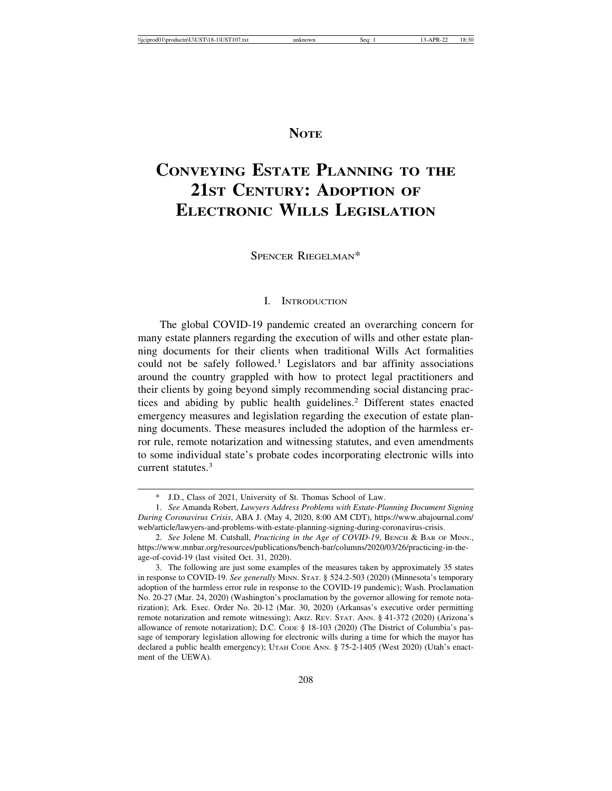## **NOTE**

## **CONVEYING ESTATE PLANNING TO THE 21ST CENTURY: ADOPTION OF ELECTRONIC WILLS LEGISLATION**

SPENCER RIEGELMAN\*

### I. INTRODUCTION

The global COVID-19 pandemic created an overarching concern for many estate planners regarding the execution of wills and other estate planning documents for their clients when traditional Wills Act formalities could not be safely followed.<sup>1</sup> Legislators and bar affinity associations around the country grappled with how to protect legal practitioners and their clients by going beyond simply recommending social distancing practices and abiding by public health guidelines.<sup>2</sup> Different states enacted emergency measures and legislation regarding the execution of estate planning documents. These measures included the adoption of the harmless error rule, remote notarization and witnessing statutes, and even amendments to some individual state's probate codes incorporating electronic wills into current statutes.<sup>3</sup>

<sup>\*</sup> J.D., Class of 2021, University of St. Thomas School of Law.

<sup>1.</sup> *See* Amanda Robert, *Lawyers Address Problems with Estate-Planning Document Signing During Coronavirus Crisis*, ABA J. (May 4, 2020, 8:00 AM CDT), https://www.abajournal.com/ web/article/lawyers-and-problems-with-estate-planning-signing-during-coronavirus-crisis.

<sup>2.</sup> *See* Jolene M. Cutshall, *Practicing in the Age of COVID-19*, BENCH & BAR OF MINN., https://www.mnbar.org/resources/publications/bench-bar/columns/2020/03/26/practicing-in-theage-of-covid-19 (last visited Oct. 31, 2020).

<sup>3.</sup> The following are just some examples of the measures taken by approximately 35 states in response to COVID-19. *See generally* MINN. STAT. § 524.2-503 (2020) (Minnesota's temporary adoption of the harmless error rule in response to the COVID-19 pandemic); Wash. Proclamation No. 20-27 (Mar. 24, 2020) (Washington's proclamation by the governor allowing for remote notarization); Ark. Exec. Order No. 20-12 (Mar. 30, 2020) (Arkansas's executive order permitting remote notarization and remote witnessing); ARIZ. REV. STAT. ANN. § 41-372 (2020) (Arizona's allowance of remote notarization); D.C. CODE § 18-103 (2020) (The District of Columbia's passage of temporary legislation allowing for electronic wills during a time for which the mayor has declared a public health emergency); UTAH CODE ANN. § 75-2-1405 (West 2020) (Utah's enactment of the UEWA).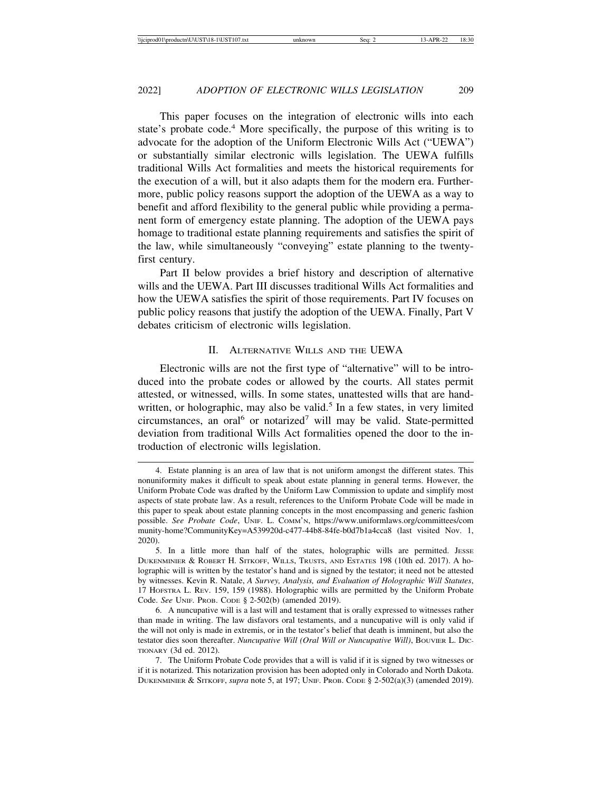This paper focuses on the integration of electronic wills into each state's probate code.<sup>4</sup> More specifically, the purpose of this writing is to advocate for the adoption of the Uniform Electronic Wills Act ("UEWA") or substantially similar electronic wills legislation. The UEWA fulfills traditional Wills Act formalities and meets the historical requirements for the execution of a will, but it also adapts them for the modern era. Furthermore, public policy reasons support the adoption of the UEWA as a way to benefit and afford flexibility to the general public while providing a permanent form of emergency estate planning. The adoption of the UEWA pays homage to traditional estate planning requirements and satisfies the spirit of the law, while simultaneously "conveying" estate planning to the twentyfirst century.

Part II below provides a brief history and description of alternative wills and the UEWA. Part III discusses traditional Wills Act formalities and how the UEWA satisfies the spirit of those requirements. Part IV focuses on public policy reasons that justify the adoption of the UEWA. Finally, Part V debates criticism of electronic wills legislation.

#### II. ALTERNATIVE WILLS AND THE UEWA

Electronic wills are not the first type of "alternative" will to be introduced into the probate codes or allowed by the courts. All states permit attested, or witnessed, wills. In some states, unattested wills that are handwritten, or holographic, may also be valid.<sup>5</sup> In a few states, in very limited circumstances, an oral<sup>6</sup> or notarized<sup>7</sup> will may be valid. State-permitted deviation from traditional Wills Act formalities opened the door to the introduction of electronic wills legislation.

7. The Uniform Probate Code provides that a will is valid if it is signed by two witnesses or if it is notarized. This notarization provision has been adopted only in Colorado and North Dakota. DUKENMINIER & SITKOFF, *supra* note 5, at 197; UNIF. PROB. CODE § 2-502(a)(3) (amended 2019).

<sup>4.</sup> Estate planning is an area of law that is not uniform amongst the different states. This nonuniformity makes it difficult to speak about estate planning in general terms. However, the Uniform Probate Code was drafted by the Uniform Law Commission to update and simplify most aspects of state probate law. As a result, references to the Uniform Probate Code will be made in this paper to speak about estate planning concepts in the most encompassing and generic fashion possible. *See Probate Code*, UNIF. L. COMM'N, https://www.uniformlaws.org/committees/com munity-home?CommunityKey=A539920d-c477-44b8-84fe-b0d7b1a4cca8 (last visited Nov. 1, 2020).

<sup>5.</sup> In a little more than half of the states, holographic wills are permitted. JESSE DUKENMINIER & ROBERT H. SITKOFF, WILLS, TRUSTS, AND ESTATES 198 (10th ed. 2017). A holographic will is written by the testator's hand and is signed by the testator; it need not be attested by witnesses. Kevin R. Natale, *A Survey, Analysis, and Evaluation of Holographic Will Statutes*, 17 HOFSTRA L. REV. 159, 159 (1988). Holographic wills are permitted by the Uniform Probate Code. *See* UNIF. PROB. CODE § 2-502(b) (amended 2019).

<sup>6.</sup> A nuncupative will is a last will and testament that is orally expressed to witnesses rather than made in writing. The law disfavors oral testaments, and a nuncupative will is only valid if the will not only is made in extremis, or in the testator's belief that death is imminent, but also the testator dies soon thereafter. *Nuncupative Will (Oral Will or Nuncupative Will)*, BOUVIER L. DIC-TIONARY (3d ed. 2012).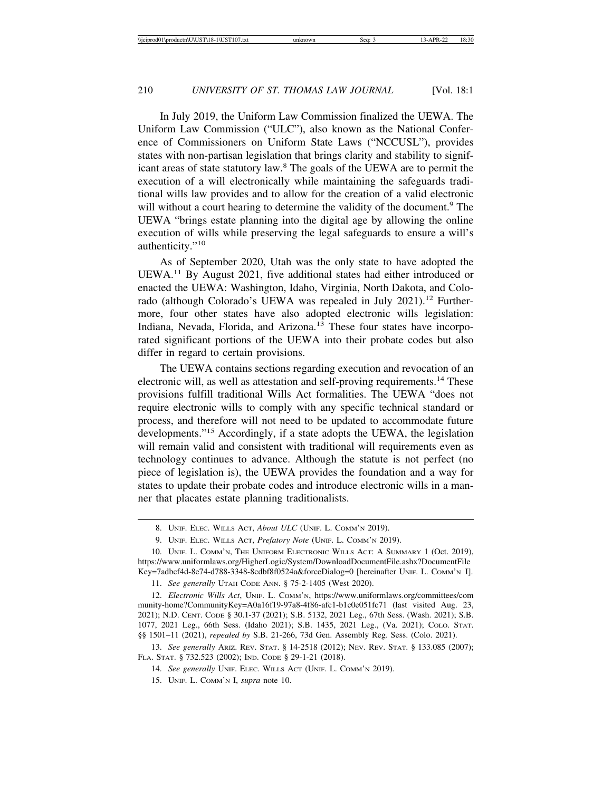In July 2019, the Uniform Law Commission finalized the UEWA. The Uniform Law Commission ("ULC"), also known as the National Conference of Commissioners on Uniform State Laws ("NCCUSL"), provides states with non-partisan legislation that brings clarity and stability to significant areas of state statutory law.<sup>8</sup> The goals of the UEWA are to permit the execution of a will electronically while maintaining the safeguards traditional wills law provides and to allow for the creation of a valid electronic will without a court hearing to determine the validity of the document.<sup>9</sup> The UEWA "brings estate planning into the digital age by allowing the online execution of wills while preserving the legal safeguards to ensure a will's authenticity."<sup>10</sup>

As of September 2020, Utah was the only state to have adopted the UEWA.11 By August 2021, five additional states had either introduced or enacted the UEWA: Washington, Idaho, Virginia, North Dakota, and Colorado (although Colorado's UEWA was repealed in July 2021).<sup>12</sup> Furthermore, four other states have also adopted electronic wills legislation: Indiana, Nevada, Florida, and Arizona.13 These four states have incorporated significant portions of the UEWA into their probate codes but also differ in regard to certain provisions.

The UEWA contains sections regarding execution and revocation of an electronic will, as well as attestation and self-proving requirements.14 These provisions fulfill traditional Wills Act formalities. The UEWA "does not require electronic wills to comply with any specific technical standard or process, and therefore will not need to be updated to accommodate future developments."15 Accordingly, if a state adopts the UEWA, the legislation will remain valid and consistent with traditional will requirements even as technology continues to advance. Although the statute is not perfect (no piece of legislation is), the UEWA provides the foundation and a way for states to update their probate codes and introduce electronic wills in a manner that placates estate planning traditionalists.

<sup>8.</sup> UNIF. ELEC. WILLS ACT, *About ULC* (UNIF. L. COMM'N 2019).

<sup>9.</sup> UNIF. ELEC. WILLS ACT, *Prefatory Note* (UNIF. L. COMM'N 2019).

<sup>10.</sup> UNIF. L. COMM'N, THE UNIFORM ELECTRONIC WILLS ACT: A SUMMARY 1 (Oct. 2019), https://www.uniformlaws.org/HigherLogic/System/DownloadDocumentFile.ashx?DocumentFile Key=7adbcf4d-8e74-d788-3348-8cdbf8f0524a&forceDialog=0 [hereinafter UNIF. L. COMM'N I].

<sup>11.</sup> *See generally* UTAH CODE ANN. § 75-2-1405 (West 2020).

<sup>12.</sup> *Electronic Wills Act*, UNIF. L. COMM'N, https://www.uniformlaws.org/committees/com munity-home?CommunityKey=A0a16f19-97a8-4f86-afc1-b1c0e051fc71 (last visited Aug. 23, 2021); N.D. CENT. CODE § 30.1-37 (2021); S.B. 5132, 2021 Leg., 67th Sess. (Wash. 2021); S.B. 1077, 2021 Leg., 66th Sess. (Idaho 2021); S.B. 1435, 2021 Leg., (Va. 2021); COLO. STAT. §§ 1501–11 (2021), *repealed by* S.B. 21-266, 73d Gen. Assembly Reg. Sess. (Colo. 2021).

<sup>13.</sup> *See generally* ARIZ. REV. STAT. § 14-2518 (2012); NEV. REV. STAT. § 133.085 (2007); FLA. STAT. § 732.523 (2002); IND. CODE § 29-1-21 (2018).

<sup>14.</sup> *See generally* UNIF. ELEC. WILLS ACT (UNIF. L. COMM'N 2019).

<sup>15.</sup> UNIF. L. COMM'N I, *supra* note 10.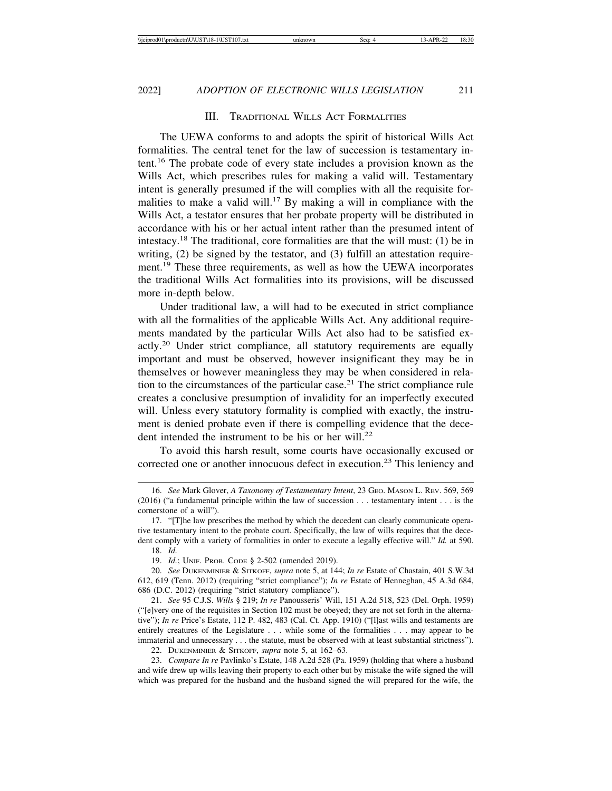#### III. TRADITIONAL WILLS ACT FORMALITIES

The UEWA conforms to and adopts the spirit of historical Wills Act formalities. The central tenet for the law of succession is testamentary intent.16 The probate code of every state includes a provision known as the Wills Act, which prescribes rules for making a valid will. Testamentary intent is generally presumed if the will complies with all the requisite formalities to make a valid will.<sup>17</sup> By making a will in compliance with the Wills Act, a testator ensures that her probate property will be distributed in accordance with his or her actual intent rather than the presumed intent of intestacy.18 The traditional, core formalities are that the will must: (1) be in writing, (2) be signed by the testator, and (3) fulfill an attestation requirement.<sup>19</sup> These three requirements, as well as how the UEWA incorporates the traditional Wills Act formalities into its provisions, will be discussed more in-depth below.

Under traditional law, a will had to be executed in strict compliance with all the formalities of the applicable Wills Act. Any additional requirements mandated by the particular Wills Act also had to be satisfied exactly.20 Under strict compliance, all statutory requirements are equally important and must be observed, however insignificant they may be in themselves or however meaningless they may be when considered in relation to the circumstances of the particular case.21 The strict compliance rule creates a conclusive presumption of invalidity for an imperfectly executed will. Unless every statutory formality is complied with exactly, the instrument is denied probate even if there is compelling evidence that the decedent intended the instrument to be his or her will. $22$ 

To avoid this harsh result, some courts have occasionally excused or corrected one or another innocuous defect in execution.<sup>23</sup> This leniency and

23. *Compare In re* Pavlinko's Estate, 148 A.2d 528 (Pa. 1959) (holding that where a husband and wife drew up wills leaving their property to each other but by mistake the wife signed the will which was prepared for the husband and the husband signed the will prepared for the wife, the

<sup>16.</sup> *See* Mark Glover, *A Taxonomy of Testamentary Intent*, 23 GEO. MASON L. REV. 569, 569 (2016) ("a fundamental principle within the law of succession . . . testamentary intent . . . is the cornerstone of a will").

<sup>17. &</sup>quot;[T]he law prescribes the method by which the decedent can clearly communicate operative testamentary intent to the probate court. Specifically, the law of wills requires that the decedent comply with a variety of formalities in order to execute a legally effective will." *Id.* at 590. 18. *Id.*

<sup>19.</sup> *Id.*; UNIF. PROB. CODE § 2-502 (amended 2019).

<sup>20.</sup> *See* DUKENMINIER & SITKOFF, *supra* note 5, at 144; *In re* Estate of Chastain, 401 S.W.3d 612, 619 (Tenn. 2012) (requiring "strict compliance"); *In re* Estate of Henneghan, 45 A.3d 684, 686 (D.C. 2012) (requiring "strict statutory compliance").

<sup>21.</sup> *See* 95 C.J.S. *Wills* § 219; *In re* Panousseris' Will, 151 A.2d 518, 523 (Del. Orph. 1959) ("[e]very one of the requisites in Section 102 must be obeyed; they are not set forth in the alternative"); *In re* Price's Estate, 112 P. 482, 483 (Cal. Ct. App. 1910) ("[l]ast wills and testaments are entirely creatures of the Legislature . . . while some of the formalities . . . may appear to be immaterial and unnecessary . . . the statute, must be observed with at least substantial strictness").

<sup>22.</sup> DUKENMINIER & SITKOFF, *supra* note 5, at 162–63.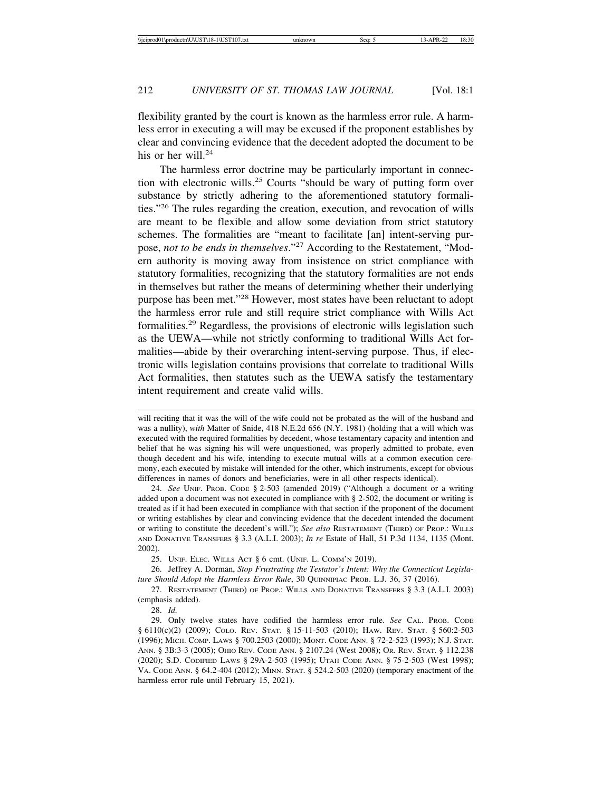flexibility granted by the court is known as the harmless error rule. A harmless error in executing a will may be excused if the proponent establishes by clear and convincing evidence that the decedent adopted the document to be his or her will. $24$ 

The harmless error doctrine may be particularly important in connection with electronic wills.25 Courts "should be wary of putting form over substance by strictly adhering to the aforementioned statutory formalities."26 The rules regarding the creation, execution, and revocation of wills are meant to be flexible and allow some deviation from strict statutory schemes. The formalities are "meant to facilitate [an] intent-serving purpose, *not to be ends in themselves*."27 According to the Restatement, "Modern authority is moving away from insistence on strict compliance with statutory formalities, recognizing that the statutory formalities are not ends in themselves but rather the means of determining whether their underlying purpose has been met."28 However, most states have been reluctant to adopt the harmless error rule and still require strict compliance with Wills Act formalities.29 Regardless, the provisions of electronic wills legislation such as the UEWA—while not strictly conforming to traditional Wills Act formalities—abide by their overarching intent-serving purpose. Thus, if electronic wills legislation contains provisions that correlate to traditional Wills Act formalities, then statutes such as the UEWA satisfy the testamentary intent requirement and create valid wills.

25. UNIF. ELEC. WILLS ACT § 6 cmt. (UNIF. L. COMM'N 2019).

26. Jeffrey A. Dorman, *Stop Frustrating the Testator's Intent: Why the Connecticut Legislature Should Adopt the Harmless Error Rule*, 30 QUINNIPIAC PROB. L.J. 36, 37 (2016).

27. RESTATEMENT (THIRD) OF PROP.: WILLS AND DONATIVE TRANSFERS § 3.3 (A.L.I. 2003) (emphasis added).

28. *Id.*

will reciting that it was the will of the wife could not be probated as the will of the husband and was a nullity), *with* Matter of Snide, 418 N.E.2d 656 (N.Y. 1981) (holding that a will which was executed with the required formalities by decedent, whose testamentary capacity and intention and belief that he was signing his will were unquestioned, was properly admitted to probate, even though decedent and his wife, intending to execute mutual wills at a common execution ceremony, each executed by mistake will intended for the other, which instruments, except for obvious differences in names of donors and beneficiaries, were in all other respects identical).

<sup>24.</sup> *See* UNIF. PROB. CODE § 2-503 (amended 2019) ("Although a document or a writing added upon a document was not executed in compliance with § 2-502, the document or writing is treated as if it had been executed in compliance with that section if the proponent of the document or writing establishes by clear and convincing evidence that the decedent intended the document or writing to constitute the decedent's will."); *See also* RESTATEMENT (THIRD) OF PROP.: WILLS AND DONATIVE TRANSFERS § 3.3 (A.L.I. 2003); *In re* Estate of Hall, 51 P.3d 1134, 1135 (Mont. 2002).

<sup>29.</sup> Only twelve states have codified the harmless error rule. *See* CAL. PROB. CODE § 6110(c)(2) (2009); COLO. REV. STAT. § 15-11-503 (2010); HAW. REV. STAT. § 560:2-503 (1996); MICH. COMP. LAWS § 700.2503 (2000); MONT. CODE ANN. § 72-2-523 (1993); N.J. STAT. ANN. § 3B:3-3 (2005); OHIO REV. CODE ANN. § 2107.24 (West 2008); OR. REV. STAT. § 112.238 (2020); S.D. CODIFIED LAWS § 29A-2-503 (1995); UTAH CODE ANN. § 75-2-503 (West 1998); VA. CODE ANN. § 64.2-404 (2012); MINN. STAT. § 524.2-503 (2020) (temporary enactment of the harmless error rule until February 15, 2021).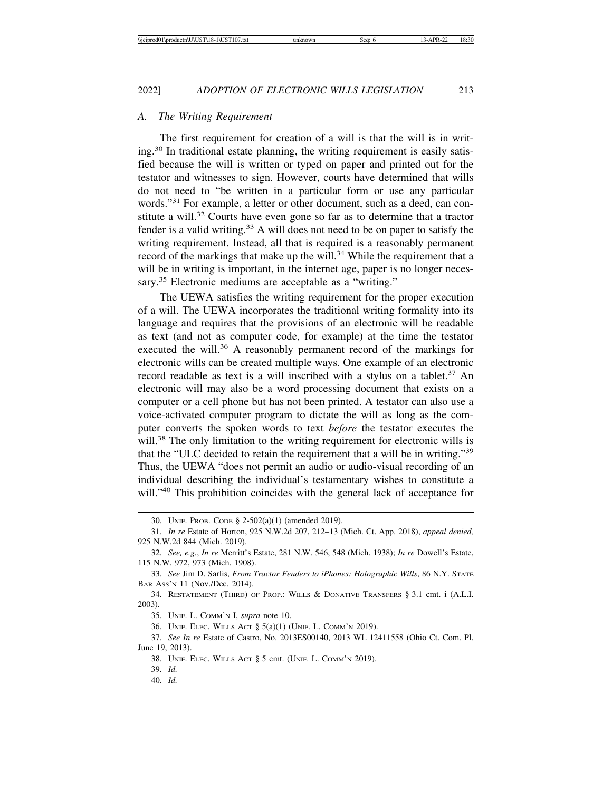#### *A. The Writing Requirement*

The first requirement for creation of a will is that the will is in writing.30 In traditional estate planning, the writing requirement is easily satisfied because the will is written or typed on paper and printed out for the testator and witnesses to sign. However, courts have determined that wills do not need to "be written in a particular form or use any particular words."31 For example, a letter or other document, such as a deed, can constitute a will.<sup>32</sup> Courts have even gone so far as to determine that a tractor fender is a valid writing.<sup>33</sup> A will does not need to be on paper to satisfy the writing requirement. Instead, all that is required is a reasonably permanent record of the markings that make up the will.<sup>34</sup> While the requirement that a will be in writing is important, in the internet age, paper is no longer necessary.<sup>35</sup> Electronic mediums are acceptable as a "writing."

The UEWA satisfies the writing requirement for the proper execution of a will. The UEWA incorporates the traditional writing formality into its language and requires that the provisions of an electronic will be readable as text (and not as computer code, for example) at the time the testator executed the will.<sup>36</sup> A reasonably permanent record of the markings for electronic wills can be created multiple ways. One example of an electronic record readable as text is a will inscribed with a stylus on a tablet.<sup>37</sup> An electronic will may also be a word processing document that exists on a computer or a cell phone but has not been printed. A testator can also use a voice-activated computer program to dictate the will as long as the computer converts the spoken words to text *before* the testator executes the will.<sup>38</sup> The only limitation to the writing requirement for electronic wills is that the "ULC decided to retain the requirement that a will be in writing."<sup>39</sup> Thus, the UEWA "does not permit an audio or audio-visual recording of an individual describing the individual's testamentary wishes to constitute a will."<sup>40</sup> This prohibition coincides with the general lack of acceptance for

<sup>30.</sup> UNIF. PROB. CODE § 2-502(a)(1) (amended 2019).

<sup>31.</sup> *In re* Estate of Horton, 925 N.W.2d 207, 212–13 (Mich. Ct. App. 2018), *appeal denied,* 925 N.W.2d 844 (Mich. 2019).

<sup>32.</sup> *See, e.g.*, *In re* Merritt's Estate, 281 N.W. 546, 548 (Mich. 1938); *In re* Dowell's Estate, 115 N.W. 972, 973 (Mich. 1908).

<sup>33.</sup> *See* Jim D. Sarlis, *From Tractor Fenders to iPhones: Holographic Wills*, 86 N.Y. STATE BAR ASS'N 11 (Nov./Dec. 2014).

<sup>34.</sup> RESTATEMENT (THIRD) OF PROP.: WILLS & DONATIVE TRANSFERS § 3.1 cmt. i (A.L.I. 2003).

<sup>35.</sup> UNIF. L. COMM'N I, *supra* note 10.

<sup>36.</sup> UNIF. ELEC. WILLS ACT § 5(a)(1) (UNIF. L. COMM'N 2019).

<sup>37.</sup> *See In re* Estate of Castro, No. 2013ES00140, 2013 WL 12411558 (Ohio Ct. Com. Pl. June 19, 2013).

<sup>38.</sup> UNIF. ELEC. WILLS ACT § 5 cmt. (UNIF. L. COMM'N 2019).

<sup>39.</sup> *Id.*

<sup>40.</sup> *Id.*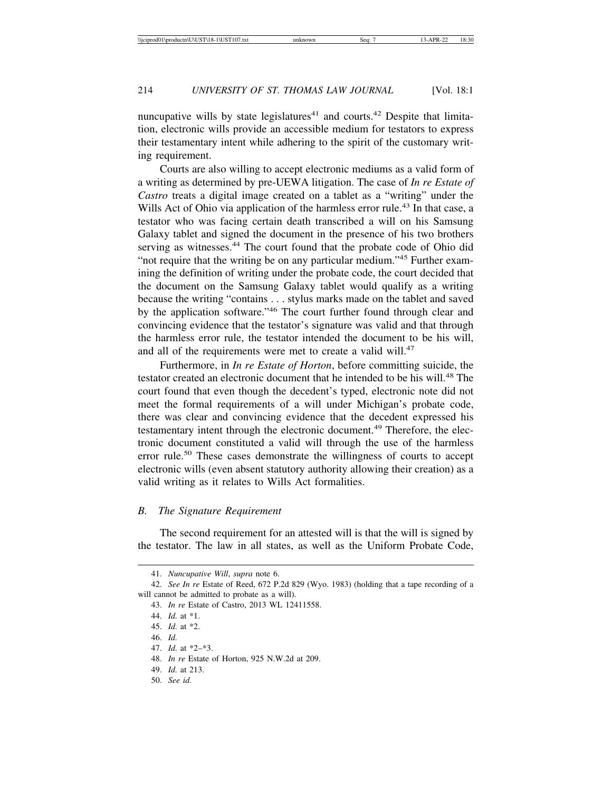nuncupative wills by state legislatures<sup>41</sup> and courts.<sup>42</sup> Despite that limitation, electronic wills provide an accessible medium for testators to express their testamentary intent while adhering to the spirit of the customary writing requirement.

Courts are also willing to accept electronic mediums as a valid form of a writing as determined by pre-UEWA litigation. The case of *In re Estate of Castro* treats a digital image created on a tablet as a "writing" under the Wills Act of Ohio via application of the harmless error rule.<sup>43</sup> In that case, a testator who was facing certain death transcribed a will on his Samsung Galaxy tablet and signed the document in the presence of his two brothers serving as witnesses.<sup>44</sup> The court found that the probate code of Ohio did "not require that the writing be on any particular medium."45 Further examining the definition of writing under the probate code, the court decided that the document on the Samsung Galaxy tablet would qualify as a writing because the writing "contains . . . stylus marks made on the tablet and saved by the application software."46 The court further found through clear and convincing evidence that the testator's signature was valid and that through the harmless error rule, the testator intended the document to be his will, and all of the requirements were met to create a valid will.<sup>47</sup>

Furthermore, in *In re Estate of Horton*, before committing suicide, the testator created an electronic document that he intended to be his will.<sup>48</sup> The court found that even though the decedent's typed, electronic note did not meet the formal requirements of a will under Michigan's probate code, there was clear and convincing evidence that the decedent expressed his testamentary intent through the electronic document.<sup>49</sup> Therefore, the electronic document constituted a valid will through the use of the harmless error rule.<sup>50</sup> These cases demonstrate the willingness of courts to accept electronic wills (even absent statutory authority allowing their creation) as a valid writing as it relates to Wills Act formalities.

#### *B. The Signature Requirement*

The second requirement for an attested will is that the will is signed by the testator. The law in all states, as well as the Uniform Probate Code,

- 46. *Id.*
- 47. *Id.* at \*2–\*3.

- 49. *Id.* at 213.
- 50. *See id.*

<sup>41.</sup> *Nuncupative Will*, *supra* note 6.

<sup>42.</sup> *See In re* Estate of Reed, 672 P.2d 829 (Wyo. 1983) (holding that a tape recording of a will cannot be admitted to probate as a will).

<sup>43.</sup> *In re* Estate of Castro, 2013 WL 12411558.

<sup>44.</sup> *Id.* at \*1.

<sup>45.</sup> *Id.* at \*2.

<sup>48.</sup> *In re* Estate of Horton, 925 N.W.2d at 209.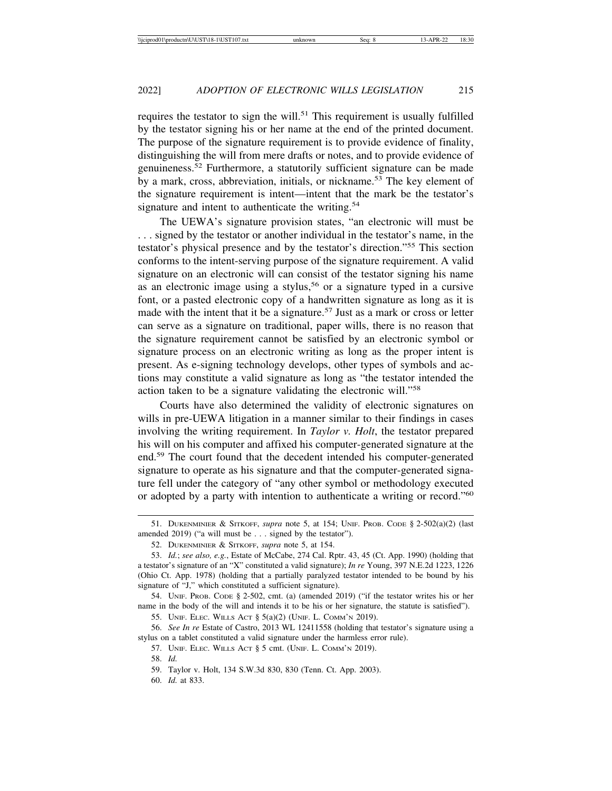requires the testator to sign the will.<sup>51</sup> This requirement is usually fulfilled by the testator signing his or her name at the end of the printed document. The purpose of the signature requirement is to provide evidence of finality, distinguishing the will from mere drafts or notes, and to provide evidence of genuineness.52 Furthermore, a statutorily sufficient signature can be made by a mark, cross, abbreviation, initials, or nickname.<sup>53</sup> The key element of the signature requirement is intent—intent that the mark be the testator's signature and intent to authenticate the writing. $54$ 

The UEWA's signature provision states, "an electronic will must be . . . signed by the testator or another individual in the testator's name, in the testator's physical presence and by the testator's direction."55 This section conforms to the intent-serving purpose of the signature requirement. A valid signature on an electronic will can consist of the testator signing his name as an electronic image using a stylus,<sup>56</sup> or a signature typed in a cursive font, or a pasted electronic copy of a handwritten signature as long as it is made with the intent that it be a signature.<sup>57</sup> Just as a mark or cross or letter can serve as a signature on traditional, paper wills, there is no reason that the signature requirement cannot be satisfied by an electronic symbol or signature process on an electronic writing as long as the proper intent is present. As e-signing technology develops, other types of symbols and actions may constitute a valid signature as long as "the testator intended the action taken to be a signature validating the electronic will."<sup>58</sup>

Courts have also determined the validity of electronic signatures on wills in pre-UEWA litigation in a manner similar to their findings in cases involving the writing requirement. In *Taylor v. Holt*, the testator prepared his will on his computer and affixed his computer-generated signature at the end.59 The court found that the decedent intended his computer-generated signature to operate as his signature and that the computer-generated signature fell under the category of "any other symbol or methodology executed or adopted by a party with intention to authenticate a writing or record."<sup>60</sup>

<sup>51.</sup> DUKENMINIER & SITKOFF, *supra* note 5, at 154; UNIF. PROB. CODE § 2-502(a)(2) (last amended 2019) ("a will must be . . . signed by the testator").

<sup>52.</sup> DUKENMINIER & SITKOFF, *supra* note 5, at 154.

<sup>53.</sup> *Id.*; *see also, e.g.*, Estate of McCabe, 274 Cal. Rptr. 43, 45 (Ct. App. 1990) (holding that a testator's signature of an "X" constituted a valid signature); *In re* Young, 397 N.E.2d 1223, 1226 (Ohio Ct. App. 1978) (holding that a partially paralyzed testator intended to be bound by his signature of "J," which constituted a sufficient signature).

<sup>54.</sup> UNIF. PROB. CODE § 2-502, cmt. (a) (amended 2019) ("if the testator writes his or her name in the body of the will and intends it to be his or her signature, the statute is satisfied").

<sup>55.</sup> UNIF. ELEC. WILLS ACT § 5(a)(2) (UNIF. L. COMM'N 2019).

<sup>56.</sup> *See In re* Estate of Castro, 2013 WL 12411558 (holding that testator's signature using a stylus on a tablet constituted a valid signature under the harmless error rule).

<sup>57.</sup> UNIF. ELEC. WILLS ACT § 5 cmt. (UNIF. L. COMM'N 2019).

<sup>58.</sup> *Id.*

<sup>59.</sup> Taylor v. Holt, 134 S.W.3d 830, 830 (Tenn. Ct. App. 2003).

<sup>60.</sup> *Id.* at 833.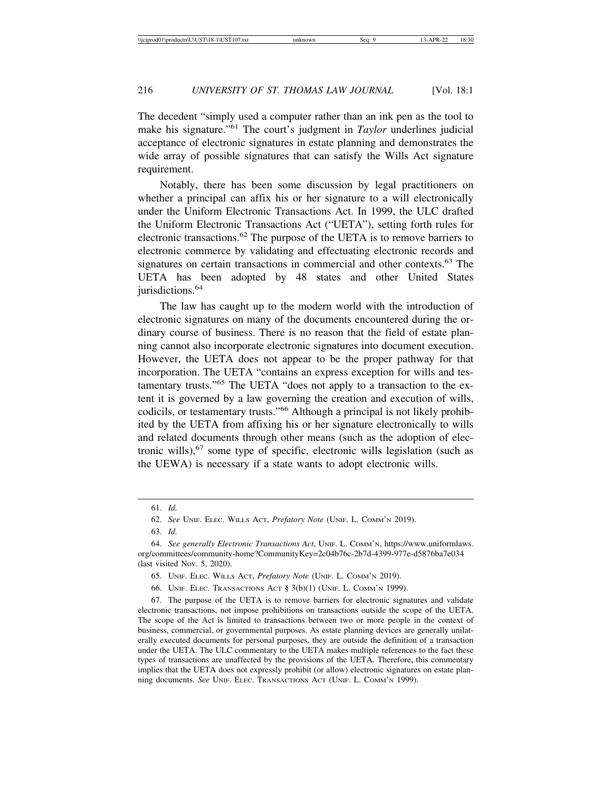The decedent "simply used a computer rather than an ink pen as the tool to make his signature."61 The court's judgment in *Taylor* underlines judicial acceptance of electronic signatures in estate planning and demonstrates the wide array of possible signatures that can satisfy the Wills Act signature requirement.

Notably, there has been some discussion by legal practitioners on whether a principal can affix his or her signature to a will electronically under the Uniform Electronic Transactions Act. In 1999, the ULC drafted the Uniform Electronic Transactions Act ("UETA"), setting forth rules for electronic transactions.62 The purpose of the UETA is to remove barriers to electronic commerce by validating and effectuating electronic records and signatures on certain transactions in commercial and other contexts.<sup>63</sup> The UETA has been adopted by 48 states and other United States jurisdictions.<sup>64</sup>

The law has caught up to the modern world with the introduction of electronic signatures on many of the documents encountered during the ordinary course of business. There is no reason that the field of estate planning cannot also incorporate electronic signatures into document execution. However, the UETA does not appear to be the proper pathway for that incorporation. The UETA "contains an express exception for wills and testamentary trusts."65 The UETA "does not apply to a transaction to the extent it is governed by a law governing the creation and execution of wills, codicils, or testamentary trusts."66 Although a principal is not likely prohibited by the UETA from affixing his or her signature electronically to wills and related documents through other means (such as the adoption of electronic wills), $67$  some type of specific, electronic wills legislation (such as the UEWA) is necessary if a state wants to adopt electronic wills.

63. *Id.*

<sup>61.</sup> *Id.*

<sup>62.</sup> *See* UNIF. ELEC. WILLS ACT, *Prefatory Note* (UNIF. L. COMM'N 2019).

<sup>64.</sup> *See generally Electronic Transactions Act*, UNIF. L. COMM'N, https://www.uniformlaws. org/committees/community-home?CommunityKey=2c04b76c-2b7d-4399-977e-d5876ba7e034 (last visited Nov. 5, 2020).

<sup>65.</sup> UNIF. ELEC. WILLS ACT, *Prefatory Note* (UNIF. L. COMM'N 2019).

<sup>66.</sup> UNIF. ELEC. TRANSACTIONS ACT § 3(b)(1) (UNIF. L. COMM'N 1999).

<sup>67.</sup> The purpose of the UETA is to remove barriers for electronic signatures and validate electronic transactions, not impose prohibitions on transactions outside the scope of the UETA. The scope of the Act is limited to transactions between two or more people in the context of business, commercial, or governmental purposes. As estate planning devices are generally unilaterally executed documents for personal purposes, they are outside the definition of a transaction under the UETA. The ULC commentary to the UETA makes multiple references to the fact these types of transactions are unaffected by the provisions of the UETA. Therefore, this commentary implies that the UETA does not expressly prohibit (or allow) electronic signatures on estate planning documents. *See* UNIF. ELEC. TRANSACTIONS ACT (UNIF. L. COMM'N 1999).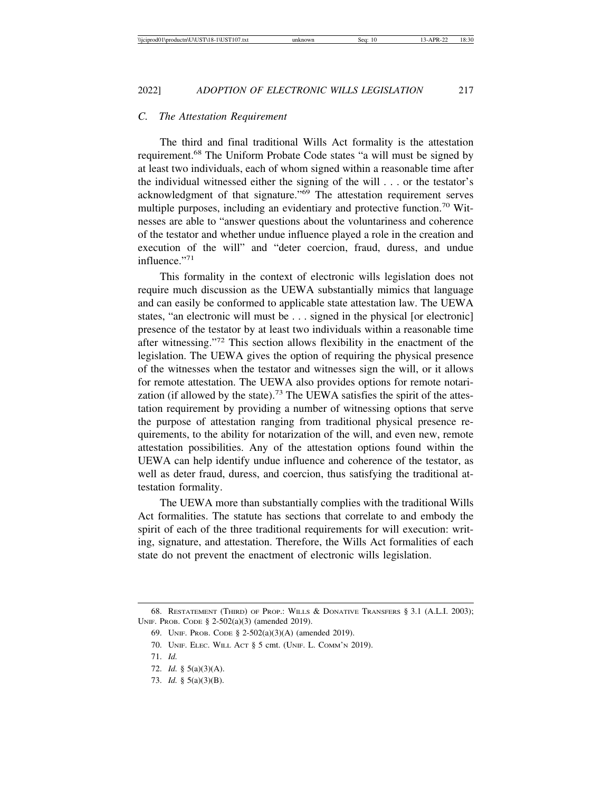#### *C. The Attestation Requirement*

The third and final traditional Wills Act formality is the attestation requirement.68 The Uniform Probate Code states "a will must be signed by at least two individuals, each of whom signed within a reasonable time after the individual witnessed either the signing of the will . . . or the testator's acknowledgment of that signature."69 The attestation requirement serves multiple purposes, including an evidentiary and protective function.<sup>70</sup> Witnesses are able to "answer questions about the voluntariness and coherence of the testator and whether undue influence played a role in the creation and execution of the will" and "deter coercion, fraud, duress, and undue influence."71

This formality in the context of electronic wills legislation does not require much discussion as the UEWA substantially mimics that language and can easily be conformed to applicable state attestation law. The UEWA states, "an electronic will must be . . . signed in the physical [or electronic] presence of the testator by at least two individuals within a reasonable time after witnessing."72 This section allows flexibility in the enactment of the legislation. The UEWA gives the option of requiring the physical presence of the witnesses when the testator and witnesses sign the will, or it allows for remote attestation. The UEWA also provides options for remote notarization (if allowed by the state).<sup>73</sup> The UEWA satisfies the spirit of the attestation requirement by providing a number of witnessing options that serve the purpose of attestation ranging from traditional physical presence requirements, to the ability for notarization of the will, and even new, remote attestation possibilities. Any of the attestation options found within the UEWA can help identify undue influence and coherence of the testator, as well as deter fraud, duress, and coercion, thus satisfying the traditional attestation formality.

The UEWA more than substantially complies with the traditional Wills Act formalities. The statute has sections that correlate to and embody the spirit of each of the three traditional requirements for will execution: writing, signature, and attestation. Therefore, the Wills Act formalities of each state do not prevent the enactment of electronic wills legislation.

73. *Id.* § 5(a)(3)(B).

<sup>68.</sup> RESTATEMENT (THIRD) OF PROP.: WILLS & DONATIVE TRANSFERS § 3.1 (A.L.I. 2003); UNIF. PROB. CODE § 2-502(a)(3) (amended 2019).

<sup>69.</sup> UNIF. PROB. CODE § 2-502(a)(3)(A) (amended 2019).

<sup>70.</sup> UNIF. ELEC. WILL ACT § 5 cmt. (UNIF. L. COMM'N 2019).

<sup>71.</sup> *Id.*

<sup>72.</sup> *Id.* § 5(a)(3)(A).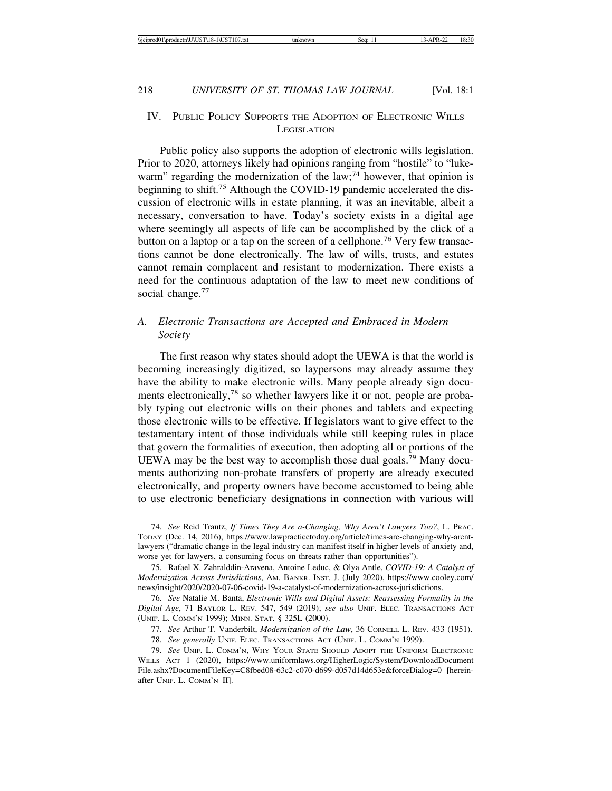## IV. PUBLIC POLICY SUPPORTS THE ADOPTION OF ELECTRONIC WILLS **LEGISLATION**

Public policy also supports the adoption of electronic wills legislation. Prior to 2020, attorneys likely had opinions ranging from "hostile" to "lukewarm" regarding the modernization of the law;<sup>74</sup> however, that opinion is beginning to shift.<sup>75</sup> Although the COVID-19 pandemic accelerated the discussion of electronic wills in estate planning, it was an inevitable, albeit a necessary, conversation to have. Today's society exists in a digital age where seemingly all aspects of life can be accomplished by the click of a button on a laptop or a tap on the screen of a cellphone.<sup>76</sup> Very few transactions cannot be done electronically. The law of wills, trusts, and estates cannot remain complacent and resistant to modernization. There exists a need for the continuous adaptation of the law to meet new conditions of social change.<sup>77</sup>

## *A. Electronic Transactions are Accepted and Embraced in Modern Society*

The first reason why states should adopt the UEWA is that the world is becoming increasingly digitized, so laypersons may already assume they have the ability to make electronic wills. Many people already sign documents electronically,<sup>78</sup> so whether lawyers like it or not, people are probably typing out electronic wills on their phones and tablets and expecting those electronic wills to be effective. If legislators want to give effect to the testamentary intent of those individuals while still keeping rules in place that govern the formalities of execution, then adopting all or portions of the UEWA may be the best way to accomplish those dual goals.<sup>79</sup> Many documents authorizing non-probate transfers of property are already executed electronically, and property owners have become accustomed to being able to use electronic beneficiary designations in connection with various will

<sup>74.</sup> *See* Reid Trautz, *If Times They Are a-Changing, Why Aren't Lawyers Too?*, L. PRAC. TODAY (Dec. 14, 2016), https://www.lawpracticetoday.org/article/times-are-changing-why-arentlawyers ("dramatic change in the legal industry can manifest itself in higher levels of anxiety and, worse yet for lawyers, a consuming focus on threats rather than opportunities").

<sup>75.</sup> Rafael X. Zahralddin-Aravena, Antoine Leduc, & Olya Antle, *COVID-19: A Catalyst of Modernization Across Jurisdictions*, AM. BANKR. INST. J. (July 2020), https://www.cooley.com/ news/insight/2020/2020-07-06-covid-19-a-catalyst-of-modernization-across-jurisdictions.

<sup>76.</sup> *See* Natalie M. Banta, *Electronic Wills and Digital Assets: Reassessing Formality in the Digital Age*, 71 BAYLOR L. REV. 547, 549 (2019); *see also* UNIF. ELEC. TRANSACTIONS ACT (UNIF. L. COMM'N 1999); MINN. STAT. § 325L (2000).

<sup>77.</sup> *See* Arthur T. Vanderbilt, *Modernization of the Law*, 36 CORNELL L. REV. 433 (1951).

<sup>78.</sup> *See generally* UNIF. ELEC. TRANSACTIONS ACT (UNIF. L. COMM'N 1999).

<sup>79.</sup> *See* UNIF. L. COMM'N, WHY YOUR STATE SHOULD ADOPT THE UNIFORM ELECTRONIC WILLS ACT 1 (2020), https://www.uniformlaws.org/HigherLogic/System/DownloadDocument File.ashx?DocumentFileKey=C8fbed08-63c2-c070-d699-d057d14d653e&forceDialog=0 [hereinafter UNIF. L. COMM'N II].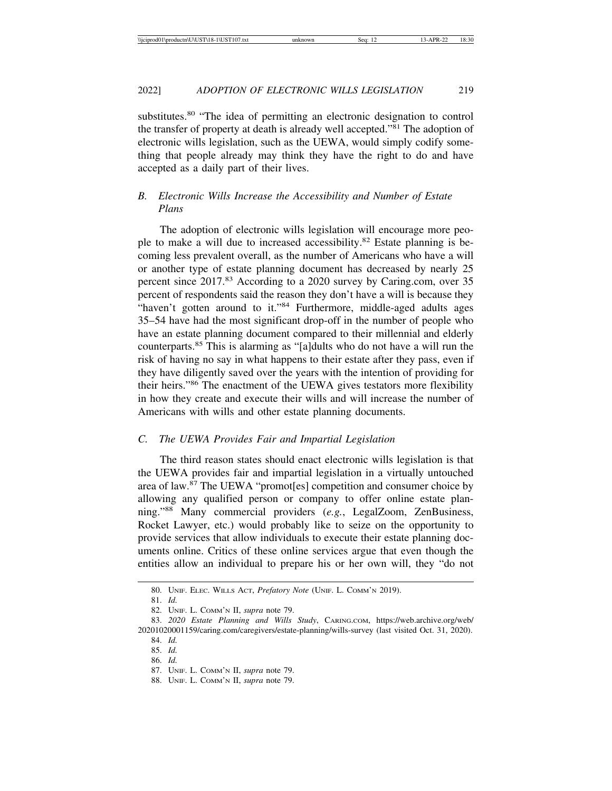substitutes.<sup>80</sup> "The idea of permitting an electronic designation to control the transfer of property at death is already well accepted."81 The adoption of electronic wills legislation, such as the UEWA, would simply codify something that people already may think they have the right to do and have accepted as a daily part of their lives.

## *B. Electronic Wills Increase the Accessibility and Number of Estate Plans*

The adoption of electronic wills legislation will encourage more people to make a will due to increased accessibility.<sup>82</sup> Estate planning is becoming less prevalent overall, as the number of Americans who have a will or another type of estate planning document has decreased by nearly 25 percent since 2017.83 According to a 2020 survey by Caring.com, over 35 percent of respondents said the reason they don't have a will is because they "haven't gotten around to it."84 Furthermore, middle-aged adults ages 35–54 have had the most significant drop-off in the number of people who have an estate planning document compared to their millennial and elderly counterparts.85 This is alarming as "[a]dults who do not have a will run the risk of having no say in what happens to their estate after they pass, even if they have diligently saved over the years with the intention of providing for their heirs."86 The enactment of the UEWA gives testators more flexibility in how they create and execute their wills and will increase the number of Americans with wills and other estate planning documents.

#### *C. The UEWA Provides Fair and Impartial Legislation*

The third reason states should enact electronic wills legislation is that the UEWA provides fair and impartial legislation in a virtually untouched area of law.87 The UEWA "promot[es] competition and consumer choice by allowing any qualified person or company to offer online estate planning."88 Many commercial providers (*e.g.*, LegalZoom, ZenBusiness, Rocket Lawyer, etc.) would probably like to seize on the opportunity to provide services that allow individuals to execute their estate planning documents online. Critics of these online services argue that even though the entities allow an individual to prepare his or her own will, they "do not

<sup>80.</sup> UNIF. ELEC. WILLS ACT, *Prefatory Note* (UNIF. L. COMM'N 2019).

<sup>81.</sup> *Id.*

<sup>82.</sup> UNIF. L. COMM'N II, *supra* note 79.

<sup>83.</sup> *2020 Estate Planning and Wills Study*, CARING.COM, https://web.archive.org/web/ 20201020001159/caring.com/caregivers/estate-planning/wills-survey (last visited Oct. 31, 2020).

<sup>84.</sup> *Id.*

<sup>85.</sup> *Id.*

<sup>86.</sup> *Id.*

<sup>87.</sup> UNIF. L. COMM'N II, *supra* note 79.

<sup>88.</sup> UNIF. L. COMM'N II, *supra* note 79.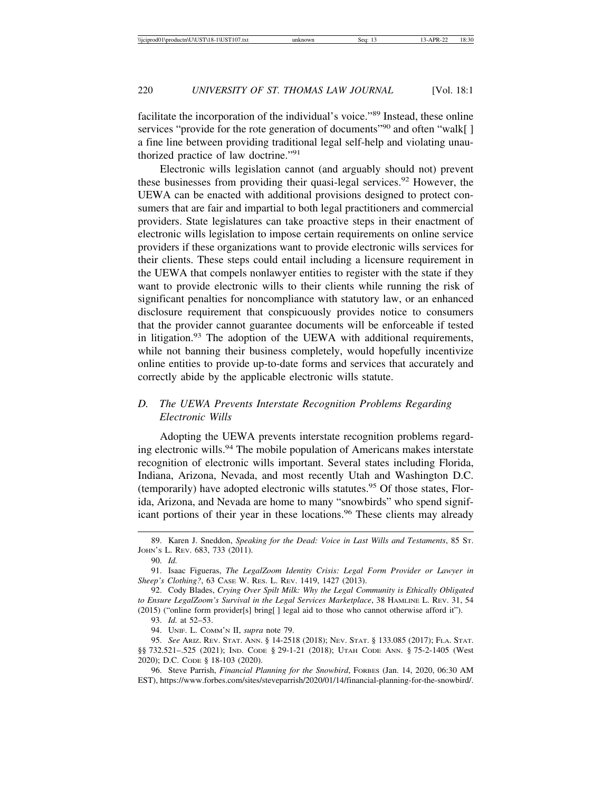facilitate the incorporation of the individual's voice."89 Instead, these online services "provide for the rote generation of documents"<sup>90</sup> and often "walk[] a fine line between providing traditional legal self-help and violating unauthorized practice of law doctrine."<sup>91</sup>

Electronic wills legislation cannot (and arguably should not) prevent these businesses from providing their quasi-legal services.<sup>92</sup> However, the UEWA can be enacted with additional provisions designed to protect consumers that are fair and impartial to both legal practitioners and commercial providers. State legislatures can take proactive steps in their enactment of electronic wills legislation to impose certain requirements on online service providers if these organizations want to provide electronic wills services for their clients. These steps could entail including a licensure requirement in the UEWA that compels nonlawyer entities to register with the state if they want to provide electronic wills to their clients while running the risk of significant penalties for noncompliance with statutory law, or an enhanced disclosure requirement that conspicuously provides notice to consumers that the provider cannot guarantee documents will be enforceable if tested in litigation.<sup>93</sup> The adoption of the UEWA with additional requirements, while not banning their business completely, would hopefully incentivize online entities to provide up-to-date forms and services that accurately and correctly abide by the applicable electronic wills statute.

## *D. The UEWA Prevents Interstate Recognition Problems Regarding Electronic Wills*

Adopting the UEWA prevents interstate recognition problems regarding electronic wills.<sup>94</sup> The mobile population of Americans makes interstate recognition of electronic wills important. Several states including Florida, Indiana, Arizona, Nevada, and most recently Utah and Washington D.C. (temporarily) have adopted electronic wills statutes.95 Of those states, Florida, Arizona, and Nevada are home to many "snowbirds" who spend significant portions of their year in these locations.<sup>96</sup> These clients may already

<sup>89.</sup> Karen J. Sneddon, *Speaking for the Dead: Voice in Last Wills and Testaments*, 85 ST. JOHN'S L. REV. 683, 733 (2011).

<sup>90.</sup> *Id.*

<sup>91.</sup> Isaac Figueras, *The LegalZoom Identity Crisis: Legal Form Provider or Lawyer in Sheep's Clothing?*, 63 CASE W. RES. L. REV. 1419, 1427 (2013).

<sup>92.</sup> Cody Blades, *Crying Over Spilt Milk: Why the Legal Community is Ethically Obligated to Ensure LegalZoom's Survival in the Legal Services Marketplace*, 38 HAMLINE L. REV. 31, 54 (2015) ("online form provider[s] bring[ ] legal aid to those who cannot otherwise afford it").

<sup>93.</sup> *Id.* at 52–53.

<sup>94.</sup> UNIF. L. COMM'N II, *supra* note 79.

<sup>95.</sup> *See* ARIZ. REV. STAT. ANN. § 14-2518 (2018); NEV. STAT. § 133.085 (2017); FLA. STAT. §§ 732.521–.525 (2021); IND. CODE § 29-1-21 (2018); UTAH CODE ANN. § 75-2-1405 (West 2020); D.C. CODE § 18-103 (2020).

<sup>96.</sup> Steve Parrish, *Financial Planning for the Snowbird*, FORBES (Jan. 14, 2020, 06:30 AM EST), https://www.forbes.com/sites/steveparrish/2020/01/14/financial-planning-for-the-snowbird/.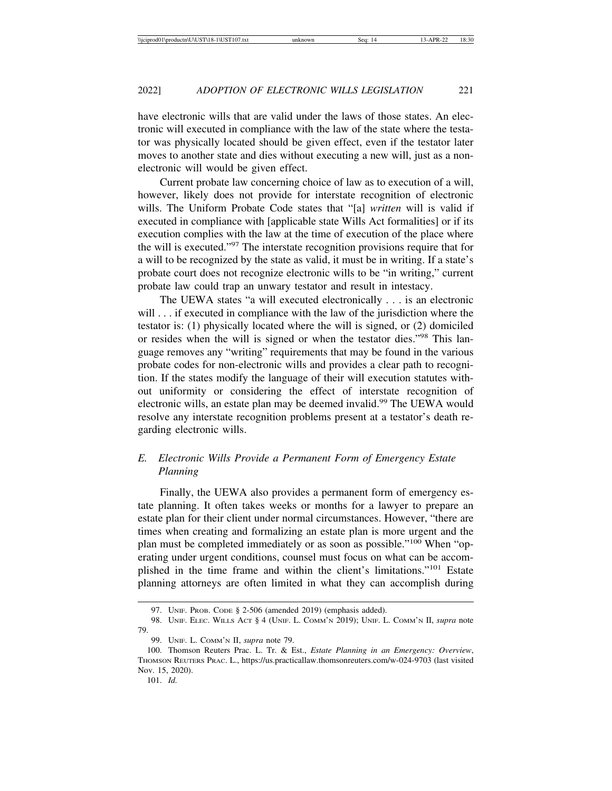have electronic wills that are valid under the laws of those states. An electronic will executed in compliance with the law of the state where the testator was physically located should be given effect, even if the testator later moves to another state and dies without executing a new will, just as a nonelectronic will would be given effect.

Current probate law concerning choice of law as to execution of a will, however, likely does not provide for interstate recognition of electronic wills. The Uniform Probate Code states that "[a] *written* will is valid if executed in compliance with [applicable state Wills Act formalities] or if its execution complies with the law at the time of execution of the place where the will is executed."97 The interstate recognition provisions require that for a will to be recognized by the state as valid, it must be in writing. If a state's probate court does not recognize electronic wills to be "in writing," current probate law could trap an unwary testator and result in intestacy.

The UEWA states "a will executed electronically . . . is an electronic will . . . if executed in compliance with the law of the jurisdiction where the testator is: (1) physically located where the will is signed, or (2) domiciled or resides when the will is signed or when the testator dies."98 This language removes any "writing" requirements that may be found in the various probate codes for non-electronic wills and provides a clear path to recognition. If the states modify the language of their will execution statutes without uniformity or considering the effect of interstate recognition of electronic wills, an estate plan may be deemed invalid.<sup>99</sup> The UEWA would resolve any interstate recognition problems present at a testator's death regarding electronic wills.

## *E. Electronic Wills Provide a Permanent Form of Emergency Estate Planning*

Finally, the UEWA also provides a permanent form of emergency estate planning. It often takes weeks or months for a lawyer to prepare an estate plan for their client under normal circumstances. However, "there are times when creating and formalizing an estate plan is more urgent and the plan must be completed immediately or as soon as possible."100 When "operating under urgent conditions, counsel must focus on what can be accomplished in the time frame and within the client's limitations."101 Estate planning attorneys are often limited in what they can accomplish during

<sup>97.</sup> UNIF. PROB. CODE § 2-506 (amended 2019) (emphasis added).

<sup>98.</sup> UNIF. ELEC. WILLS ACT § 4 (UNIF. L. COMM'N 2019); UNIF. L. COMM'N II, *supra* note 79.

<sup>99.</sup> UNIF. L. COMM'N II, *supra* note 79.

<sup>100.</sup> Thomson Reuters Prac. L. Tr. & Est., *Estate Planning in an Emergency: Overview*, THOMSON REUTERS PRAC. L., https://us.practicallaw.thomsonreuters.com/w-024-9703 (last visited Nov. 15, 2020).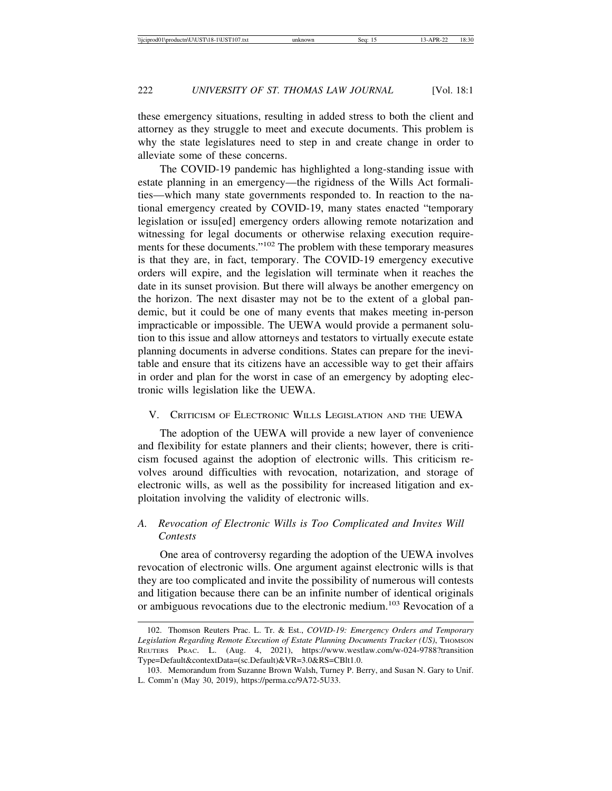these emergency situations, resulting in added stress to both the client and attorney as they struggle to meet and execute documents. This problem is why the state legislatures need to step in and create change in order to alleviate some of these concerns.

The COVID-19 pandemic has highlighted a long-standing issue with estate planning in an emergency—the rigidness of the Wills Act formalities—which many state governments responded to. In reaction to the national emergency created by COVID-19, many states enacted "temporary legislation or issu[ed] emergency orders allowing remote notarization and witnessing for legal documents or otherwise relaxing execution requirements for these documents."102 The problem with these temporary measures is that they are, in fact, temporary. The COVID-19 emergency executive orders will expire, and the legislation will terminate when it reaches the date in its sunset provision. But there will always be another emergency on the horizon. The next disaster may not be to the extent of a global pandemic, but it could be one of many events that makes meeting in-person impracticable or impossible. The UEWA would provide a permanent solution to this issue and allow attorneys and testators to virtually execute estate planning documents in adverse conditions. States can prepare for the inevitable and ensure that its citizens have an accessible way to get their affairs in order and plan for the worst in case of an emergency by adopting electronic wills legislation like the UEWA.

### V. CRITICISM OF ELECTRONIC WILLS LEGISLATION AND THE UEWA

The adoption of the UEWA will provide a new layer of convenience and flexibility for estate planners and their clients; however, there is criticism focused against the adoption of electronic wills. This criticism revolves around difficulties with revocation, notarization, and storage of electronic wills, as well as the possibility for increased litigation and exploitation involving the validity of electronic wills.

## *A. Revocation of Electronic Wills is Too Complicated and Invites Will Contests*

One area of controversy regarding the adoption of the UEWA involves revocation of electronic wills. One argument against electronic wills is that they are too complicated and invite the possibility of numerous will contests and litigation because there can be an infinite number of identical originals or ambiguous revocations due to the electronic medium.103 Revocation of a

<sup>102.</sup> Thomson Reuters Prac. L. Tr. & Est., *COVID-19: Emergency Orders and Temporary* Legislation Regarding Remote Execution of Estate Planning Documents Tracker (US), THOMSON REUTERS PRAC. L. (Aug. 4, 2021), https://www.westlaw.com/w-024-9788?transition Type=Default&contextData=(sc.Default)&VR=3.0&RS=CBlt1.0.

<sup>103.</sup> Memorandum from Suzanne Brown Walsh, Turney P. Berry, and Susan N. Gary to Unif. L. Comm'n (May 30, 2019), https://perma.cc/9A72-5U33.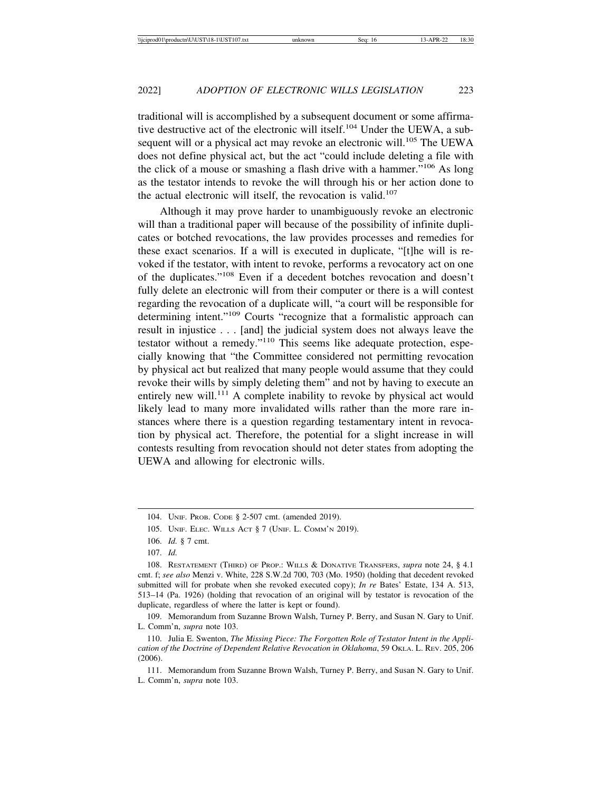traditional will is accomplished by a subsequent document or some affirmative destructive act of the electronic will itself.104 Under the UEWA, a subsequent will or a physical act may revoke an electronic will.<sup>105</sup> The UEWA does not define physical act, but the act "could include deleting a file with the click of a mouse or smashing a flash drive with a hammer."106 As long as the testator intends to revoke the will through his or her action done to the actual electronic will itself, the revocation is valid.<sup>107</sup>

Although it may prove harder to unambiguously revoke an electronic will than a traditional paper will because of the possibility of infinite duplicates or botched revocations, the law provides processes and remedies for these exact scenarios. If a will is executed in duplicate, "[t]he will is revoked if the testator, with intent to revoke, performs a revocatory act on one of the duplicates."108 Even if a decedent botches revocation and doesn't fully delete an electronic will from their computer or there is a will contest regarding the revocation of a duplicate will, "a court will be responsible for determining intent."109 Courts "recognize that a formalistic approach can result in injustice . . . [and] the judicial system does not always leave the testator without a remedy."110 This seems like adequate protection, especially knowing that "the Committee considered not permitting revocation by physical act but realized that many people would assume that they could revoke their wills by simply deleting them" and not by having to execute an entirely new will.<sup>111</sup> A complete inability to revoke by physical act would likely lead to many more invalidated wills rather than the more rare instances where there is a question regarding testamentary intent in revocation by physical act. Therefore, the potential for a slight increase in will contests resulting from revocation should not deter states from adopting the UEWA and allowing for electronic wills.

109. Memorandum from Suzanne Brown Walsh, Turney P. Berry, and Susan N. Gary to Unif. L. Comm'n, *supra* note 103.

110. Julia E. Swenton, *The Missing Piece: The Forgotten Role of Testator Intent in the Application of the Doctrine of Dependent Relative Revocation in Oklahoma*, 59 OKLA. L. REV. 205, 206 (2006).

111. Memorandum from Suzanne Brown Walsh, Turney P. Berry, and Susan N. Gary to Unif. L. Comm'n, *supra* note 103.

<sup>104.</sup> UNIF. PROB. CODE § 2-507 cmt. (amended 2019).

<sup>105.</sup> UNIF. ELEC. WILLS ACT § 7 (UNIF. L. COMM'N 2019).

<sup>106.</sup> *Id.* § 7 cmt.

<sup>107.</sup> *Id.*

<sup>108.</sup> RESTATEMENT (THIRD) OF PROP.: WILLS & DONATIVE TRANSFERS, *supra* note 24, § 4.1 cmt. f; *see also* Menzi v. White, 228 S.W.2d 700, 703 (Mo. 1950) (holding that decedent revoked submitted will for probate when she revoked executed copy); *In re* Bates' Estate, 134 A. 513, 513–14 (Pa. 1926) (holding that revocation of an original will by testator is revocation of the duplicate, regardless of where the latter is kept or found).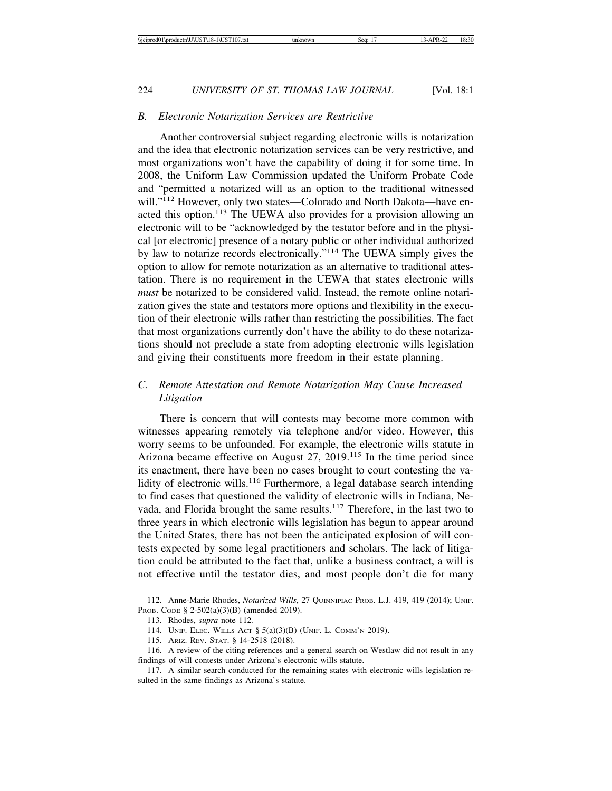#### *B. Electronic Notarization Services are Restrictive*

Another controversial subject regarding electronic wills is notarization and the idea that electronic notarization services can be very restrictive, and most organizations won't have the capability of doing it for some time. In 2008, the Uniform Law Commission updated the Uniform Probate Code and "permitted a notarized will as an option to the traditional witnessed will."<sup>112</sup> However, only two states—Colorado and North Dakota—have enacted this option.113 The UEWA also provides for a provision allowing an electronic will to be "acknowledged by the testator before and in the physical [or electronic] presence of a notary public or other individual authorized by law to notarize records electronically."114 The UEWA simply gives the option to allow for remote notarization as an alternative to traditional attestation. There is no requirement in the UEWA that states electronic wills *must* be notarized to be considered valid. Instead, the remote online notarization gives the state and testators more options and flexibility in the execution of their electronic wills rather than restricting the possibilities. The fact that most organizations currently don't have the ability to do these notarizations should not preclude a state from adopting electronic wills legislation and giving their constituents more freedom in their estate planning.

## *C. Remote Attestation and Remote Notarization May Cause Increased Litigation*

There is concern that will contests may become more common with witnesses appearing remotely via telephone and/or video. However, this worry seems to be unfounded. For example, the electronic wills statute in Arizona became effective on August 27, 2019.115 In the time period since its enactment, there have been no cases brought to court contesting the validity of electronic wills.<sup>116</sup> Furthermore, a legal database search intending to find cases that questioned the validity of electronic wills in Indiana, Nevada, and Florida brought the same results.<sup>117</sup> Therefore, in the last two to three years in which electronic wills legislation has begun to appear around the United States, there has not been the anticipated explosion of will contests expected by some legal practitioners and scholars. The lack of litigation could be attributed to the fact that, unlike a business contract, a will is not effective until the testator dies, and most people don't die for many

<sup>112.</sup> Anne-Marie Rhodes, *Notarized Wills*, 27 QUINNIPIAC PROB. L.J. 419, 419 (2014); UNIF. PROB. CODE § 2-502(a)(3)(B) (amended 2019).

<sup>113.</sup> Rhodes, *supra* note 112*.*

<sup>114.</sup> UNIF. ELEC. WILLS ACT § 5(a)(3)(B) (UNIF. L. COMM'N 2019).

<sup>115.</sup> ARIZ. REV. STAT. § 14-2518 (2018).

<sup>116.</sup> A review of the citing references and a general search on Westlaw did not result in any findings of will contests under Arizona's electronic wills statute.

<sup>117.</sup> A similar search conducted for the remaining states with electronic wills legislation resulted in the same findings as Arizona's statute.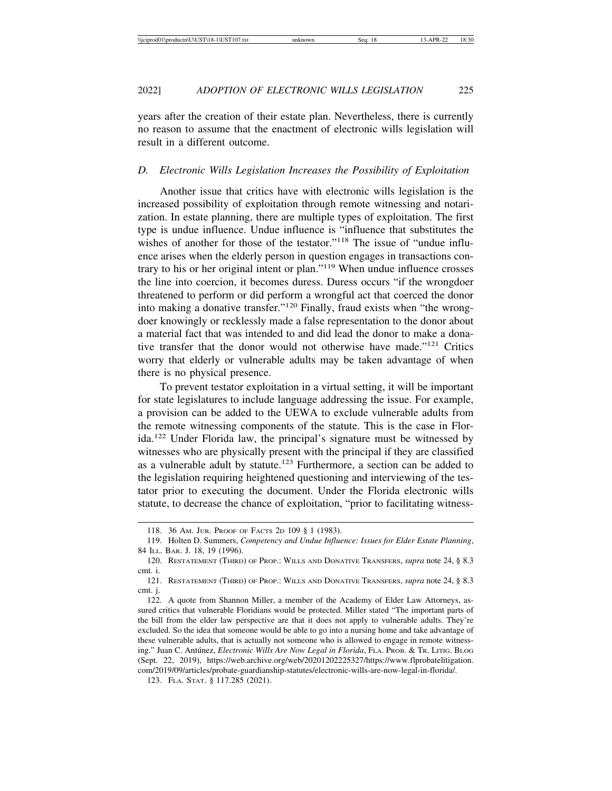years after the creation of their estate plan. Nevertheless, there is currently no reason to assume that the enactment of electronic wills legislation will result in a different outcome.

#### *D. Electronic Wills Legislation Increases the Possibility of Exploitation*

Another issue that critics have with electronic wills legislation is the increased possibility of exploitation through remote witnessing and notarization. In estate planning, there are multiple types of exploitation. The first type is undue influence. Undue influence is "influence that substitutes the wishes of another for those of the testator."<sup>118</sup> The issue of "undue influence arises when the elderly person in question engages in transactions contrary to his or her original intent or plan."119 When undue influence crosses the line into coercion, it becomes duress. Duress occurs "if the wrongdoer threatened to perform or did perform a wrongful act that coerced the donor into making a donative transfer."120 Finally, fraud exists when "the wrongdoer knowingly or recklessly made a false representation to the donor about a material fact that was intended to and did lead the donor to make a donative transfer that the donor would not otherwise have made."121 Critics worry that elderly or vulnerable adults may be taken advantage of when there is no physical presence.

To prevent testator exploitation in a virtual setting, it will be important for state legislatures to include language addressing the issue. For example, a provision can be added to the UEWA to exclude vulnerable adults from the remote witnessing components of the statute. This is the case in Florida.122 Under Florida law, the principal's signature must be witnessed by witnesses who are physically present with the principal if they are classified as a vulnerable adult by statute.123 Furthermore, a section can be added to the legislation requiring heightened questioning and interviewing of the testator prior to executing the document. Under the Florida electronic wills statute, to decrease the chance of exploitation, "prior to facilitating witness-

<sup>118. 36</sup> AM. JUR. PROOF OF FACTS 2D 109 § 1 (1983).

<sup>119.</sup> Holten D. Summers, *Competency and Undue Influence: Issues for Elder Estate Planning*, 84 ILL. BAR. J. 18, 19 (1996).

<sup>120.</sup> RESTATEMENT (THIRD) OF PROP.: WILLS AND DONATIVE TRANSFERS, *supra* note 24, § 8.3 cmt. i.

<sup>121.</sup> RESTATEMENT (THIRD) OF PROP.: WILLS AND DONATIVE TRANSFERS, *supra* note 24, § 8.3 cmt. j.

<sup>122.</sup> A quote from Shannon Miller, a member of the Academy of Elder Law Attorneys, assured critics that vulnerable Floridians would be protected. Miller stated "The important parts of the bill from the elder law perspective are that it does not apply to vulnerable adults. They're excluded. So the idea that someone would be able to go into a nursing home and take advantage of these vulnerable adults, that is actually not someone who is allowed to engage in remote witnessing." Juan C. Ant´unez, *Electronic Wills Are Now Legal in Florida*, FLA. PROB. & TR. LITIG. BLOG (Sept. 22, 2019), https://web.archive.org/web/20201202225327/https://www.flprobatelitigation. com/2019/09/articles/probate-guardianship-statutes/electronic-wills-are-now-legal-in-florida/.

<sup>123.</sup> FLA. STAT. § 117.285 (2021).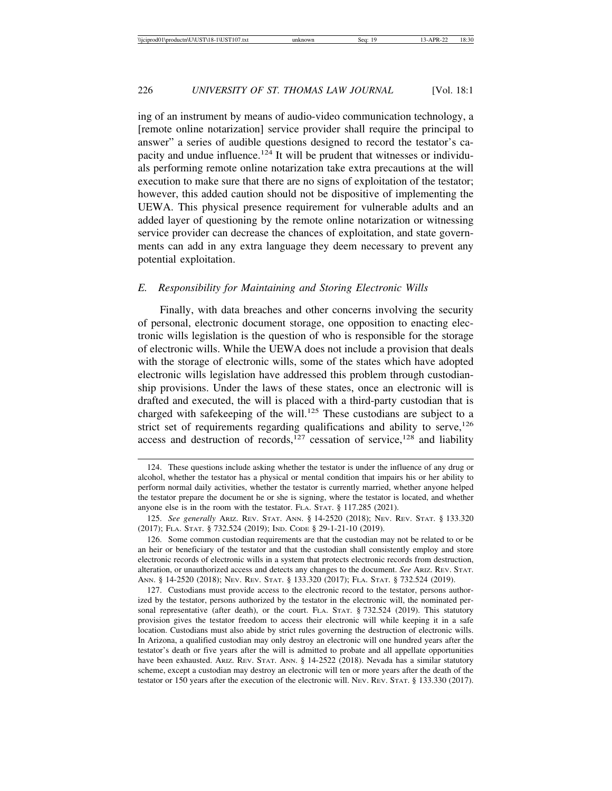ing of an instrument by means of audio-video communication technology, a [remote online notarization] service provider shall require the principal to answer" a series of audible questions designed to record the testator's capacity and undue influence.<sup>124</sup> It will be prudent that witnesses or individuals performing remote online notarization take extra precautions at the will execution to make sure that there are no signs of exploitation of the testator; however, this added caution should not be dispositive of implementing the UEWA. This physical presence requirement for vulnerable adults and an added layer of questioning by the remote online notarization or witnessing service provider can decrease the chances of exploitation, and state governments can add in any extra language they deem necessary to prevent any potential exploitation.

#### *E. Responsibility for Maintaining and Storing Electronic Wills*

Finally, with data breaches and other concerns involving the security of personal, electronic document storage, one opposition to enacting electronic wills legislation is the question of who is responsible for the storage of electronic wills. While the UEWA does not include a provision that deals with the storage of electronic wills, some of the states which have adopted electronic wills legislation have addressed this problem through custodianship provisions. Under the laws of these states, once an electronic will is drafted and executed, the will is placed with a third-party custodian that is charged with safekeeping of the will.<sup>125</sup> These custodians are subject to a strict set of requirements regarding qualifications and ability to serve, $126$ access and destruction of records,<sup>127</sup> cessation of service,<sup>128</sup> and liability

<sup>124.</sup> These questions include asking whether the testator is under the influence of any drug or alcohol, whether the testator has a physical or mental condition that impairs his or her ability to perform normal daily activities, whether the testator is currently married, whether anyone helped the testator prepare the document he or she is signing, where the testator is located, and whether anyone else is in the room with the testator. FLA. STAT. § 117.285 (2021).

<sup>125.</sup> *See generally* ARIZ. REV. STAT. ANN. § 14-2520 (2018); NEV. REV. STAT. § 133.320 (2017); FLA. STAT. § 732.524 (2019); IND. CODE § 29-1-21-10 (2019).

<sup>126.</sup> Some common custodian requirements are that the custodian may not be related to or be an heir or beneficiary of the testator and that the custodian shall consistently employ and store electronic records of electronic wills in a system that protects electronic records from destruction, alteration, or unauthorized access and detects any changes to the document. *See* ARIZ. REV. STAT. ANN. § 14-2520 (2018); NEV. REV. STAT. § 133.320 (2017); FLA. STAT. § 732.524 (2019).

<sup>127.</sup> Custodians must provide access to the electronic record to the testator, persons authorized by the testator, persons authorized by the testator in the electronic will, the nominated personal representative (after death), or the court. FLA. STAT. § 732.524 (2019). This statutory provision gives the testator freedom to access their electronic will while keeping it in a safe location. Custodians must also abide by strict rules governing the destruction of electronic wills. In Arizona, a qualified custodian may only destroy an electronic will one hundred years after the testator's death or five years after the will is admitted to probate and all appellate opportunities have been exhausted. ARIZ. REV. STAT. ANN. § 14-2522 (2018). Nevada has a similar statutory scheme, except a custodian may destroy an electronic will ten or more years after the death of the testator or 150 years after the execution of the electronic will. NEV. REV. STAT. § 133.330 (2017).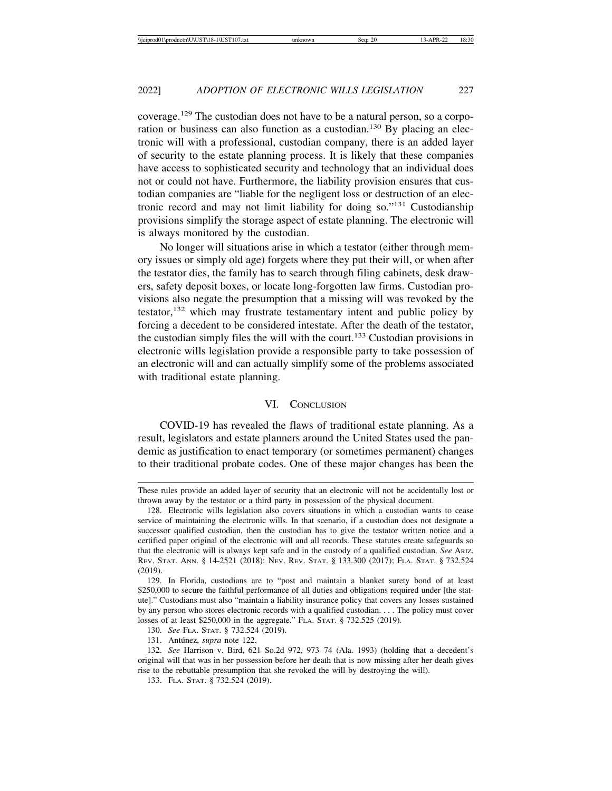coverage.129 The custodian does not have to be a natural person, so a corporation or business can also function as a custodian.<sup>130</sup> By placing an electronic will with a professional, custodian company, there is an added layer of security to the estate planning process. It is likely that these companies have access to sophisticated security and technology that an individual does not or could not have. Furthermore, the liability provision ensures that custodian companies are "liable for the negligent loss or destruction of an electronic record and may not limit liability for doing so."131 Custodianship provisions simplify the storage aspect of estate planning. The electronic will is always monitored by the custodian.

No longer will situations arise in which a testator (either through memory issues or simply old age) forgets where they put their will, or when after the testator dies, the family has to search through filing cabinets, desk drawers, safety deposit boxes, or locate long-forgotten law firms. Custodian provisions also negate the presumption that a missing will was revoked by the testator, $132$  which may frustrate testamentary intent and public policy by forcing a decedent to be considered intestate. After the death of the testator, the custodian simply files the will with the court.<sup>133</sup> Custodian provisions in electronic wills legislation provide a responsible party to take possession of an electronic will and can actually simplify some of the problems associated with traditional estate planning.

#### VI. CONCLUSION

COVID-19 has revealed the flaws of traditional estate planning. As a result, legislators and estate planners around the United States used the pandemic as justification to enact temporary (or sometimes permanent) changes to their traditional probate codes. One of these major changes has been the

These rules provide an added layer of security that an electronic will not be accidentally lost or thrown away by the testator or a third party in possession of the physical document.

<sup>128.</sup> Electronic wills legislation also covers situations in which a custodian wants to cease service of maintaining the electronic wills. In that scenario, if a custodian does not designate a successor qualified custodian, then the custodian has to give the testator written notice and a certified paper original of the electronic will and all records. These statutes create safeguards so that the electronic will is always kept safe and in the custody of a qualified custodian. *See* ARIZ. REV. STAT. ANN. § 14-2521 (2018); NEV. REV. STAT. § 133.300 (2017); FLA. STAT. § 732.524 (2019).

<sup>129.</sup> In Florida, custodians are to "post and maintain a blanket surety bond of at least \$250,000 to secure the faithful performance of all duties and obligations required under [the statute]." Custodians must also "maintain a liability insurance policy that covers any losses sustained by any person who stores electronic records with a qualified custodian. . . . The policy must cover losses of at least \$250,000 in the aggregate." FLA. STAT. § 732.525 (2019).

<sup>130.</sup> *See* FLA. STAT. § 732.524 (2019).

<sup>131.</sup> Antúnez, *supra* note 122.

<sup>132.</sup> *See* Harrison v. Bird, 621 So.2d 972, 973–74 (Ala. 1993) (holding that a decedent's original will that was in her possession before her death that is now missing after her death gives rise to the rebuttable presumption that she revoked the will by destroying the will).

<sup>133.</sup> FLA. STAT. § 732.524 (2019).